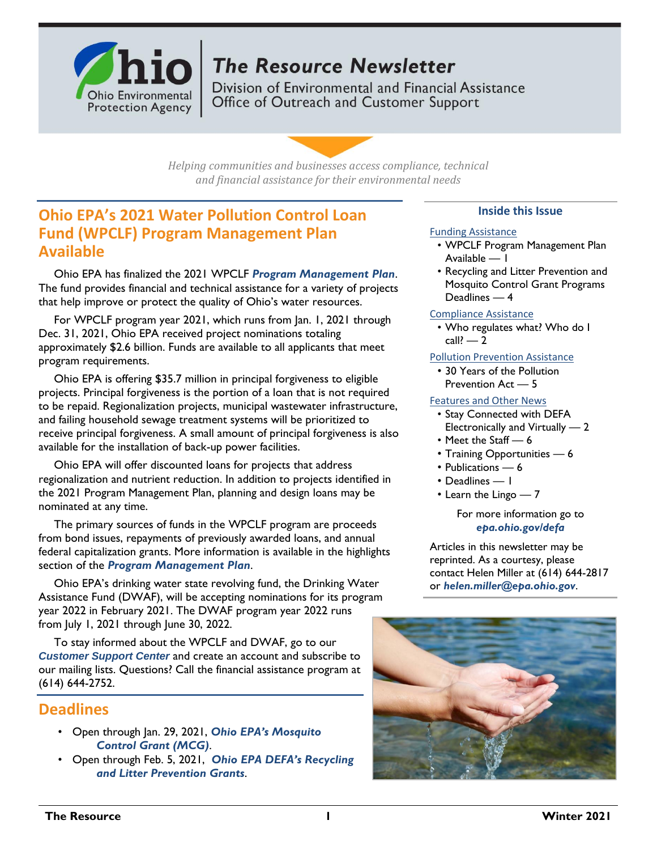

# **The Resource Newsletter**

Division of Environmental and Financial Assistance Office of Outreach and Customer Support

*Helping communities and businesses access compliance, technical and financial assistance for their environmental needs*

# **Ohio EPA's 2021 Water Pollution Control Loan Fund (WPCLF) Program Management Plan Available**

Ohio EPA has finalized the 2021 WPCLF *[Program Management Plan](https://epa.ohio.gov/Portals/29/documents/ofa/2021-WPCLF-PMP-FINAL.pdf)*. The fund provides financial and technical assistance for a variety of projects that help improve or protect the quality of Ohio's water resources.

For WPCLF program year 2021, which runs from Jan. 1, 2021 through Dec. 31, 2021, Ohio EPA received project nominations totaling approximately \$2.6 billion. Funds are available to all applicants that meet program requirements.

Ohio EPA is offering \$35.7 million in principal forgiveness to eligible projects. Principal forgiveness is the portion of a loan that is not required to be repaid. Regionalization projects, municipal wastewater infrastructure, and failing household sewage treatment systems will be prioritized to receive principal forgiveness. A small amount of principal forgiveness is also available for the installation of back-up power facilities.

Ohio EPA will offer discounted loans for projects that address regionalization and nutrient reduction. In addition to projects identified in the 2021 Program Management Plan, planning and design loans may be nominated at any time.

The primary sources of funds in the WPCLF program are proceeds from bond issues, repayments of previously awarded loans, and annual federal capitalization grants. More information is available in the highlights section of the *[Program Management Plan](https://epa.ohio.gov/Portals/29/documents/ofa/2021-WPCLF-PMP-FINAL.pdf)*.

Ohio EPA's drinking water state revolving fund, the Drinking Water Assistance Fund (DWAF), will be accepting nominations for its program year 2022 in February 2021. The DWAF program year 2022 runs from July 1, 2021 through June 30, 2022.

To stay informed about the WPCLF and DWAF, go to our *[Customer Support Center](https://ohioepa.custhelp.com/)* and create an account and subscribe to our mailing lists. Questions? Call the financial assistance program at (614) 644-2752.

### **Deadlines**

- Open through Jan. 29, 2021, *[Ohio EPA's Mosquito](https://epa.ohio.gov/dmwm/Home/MosquitoControlGrant) [Control Grant \(MCG\)](https://epa.ohio.gov/dmwm/Home/MosquitoControlGrant)*.
- Open through Feb. 5, 2021, *[Ohio EPA DEFA's Recycling](https://epa.ohio.gov/ocapp/recycling#164885249-grants) and [Litter Prevention Grants](https://epa.ohio.gov/ocapp/recycling#164885249-grants)*.

### **Inside this Issue**

### Funding Assistance

- WPCLF Program Management Plan Available — 1
- Recycling and Litter Prevention and Mosquito Control Grant Programs Deadlines — 4

### Compliance Assistance

• Who regulates what? Who do I  $call? - 2$ 

### Pollution Prevention Assistance

• 30 Years of the Pollution Prevention Act — 5

### Features and Other News

- Stay Connected with DEFA Electronically and Virtually — 2
- Meet the Staff 6
- Training Opportunities 6
- Publications 6
- Deadlines 1
- Learn the Lingo 7

For more information go to *[epa.ohio.gov/defa](http://epa.ohio.gov/defa/)*

Articles in this newsletter may be reprinted. As a courtesy, please contact Helen Miller at (614) 644-2817 or *[helen.miller@epa.ohio.gov](mailto:helen.miller@epa.ohio.gov)*.

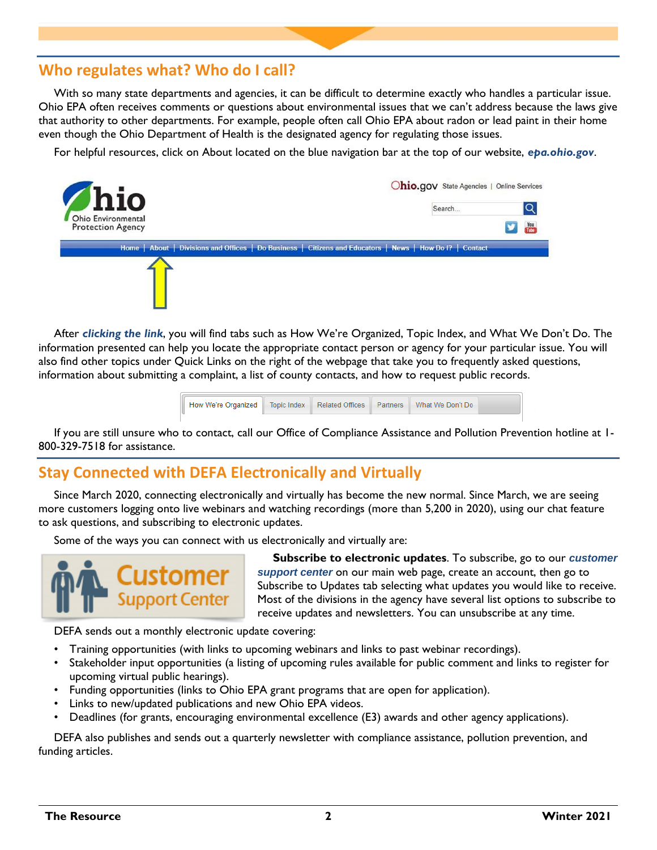# **Who regulates what? Who do I call?**

With so many state departments and agencies, it can be difficult to determine exactly who handles a particular issue. Ohio EPA often receives comments or questions about environmental issues that we can't address because the laws give that authority to other departments. For example, people often call Ohio EPA about radon or lead paint in their home even though the Ohio Department of Health is the designated agency for regulating those issues.

For helpful resources, click on About located on the blue navigation bar at the top of our website, *[epa.ohio.gov](http://www.epa.ohio.gov/)*.



After *[clicking the link](http://epa.ohio.gov/about.aspx)*, you will find tabs such as How We're Organized, Topic Index, and What We Don't Do. The information presented can help you locate the appropriate contact person or agency for your particular issue. You will also find other topics under Quick Links on the right of the webpage that take you to frequently asked questions, information about submitting a complaint, a list of county contacts, and how to request public records.



If you are still unsure who to contact, call our Office of Compliance Assistance and Pollution Prevention hotline at 1- 800-329-7518 for assistance.

# **Stay Connected with DEFA Electronically and Virtually**

Since March 2020, connecting electronically and virtually has become the new normal. Since March, we are seeing more customers logging onto live webinars and watching recordings (more than 5,200 in 2020), using our chat feature to ask questions, and subscribing to electronic updates.

Some of the ways you can connect with us electronically and virtually are:



**Subscribe to electronic updates**. To subscribe, go to our *[customer](https://ohioepa.custhelp.com/)  [support center](https://ohioepa.custhelp.com/)* on our main web page, create an account, then go to Subscribe to Updates tab selecting what updates you would like to receive. Most of the divisions in the agency have several list options to subscribe to receive updates and newsletters. You can unsubscribe at any time.

DEFA sends out a monthly electronic update covering:

- Training opportunities (with links to upcoming webinars and links to past webinar recordings).
- Stakeholder input opportunities (a listing of upcoming rules available for public comment and links to register for upcoming virtual public hearings).
- Funding opportunities (links to Ohio EPA grant programs that are open for application).
- Links to new/updated publications and new Ohio EPA videos.
- Deadlines (for grants, encouraging environmental excellence (E3) awards and other agency applications).

DEFA also publishes and sends out a quarterly newsletter with compliance assistance, pollution prevention, and funding articles.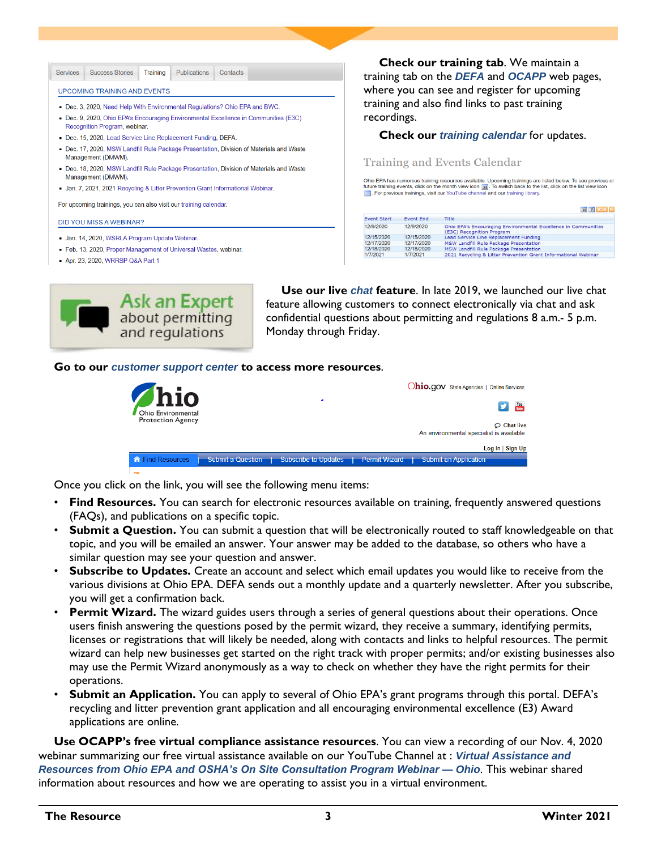| <b>Services</b> | <b>Success Stories</b>                                                                                                | Training | <b>Publications</b> | Contacts |                                                                                          |  |
|-----------------|-----------------------------------------------------------------------------------------------------------------------|----------|---------------------|----------|------------------------------------------------------------------------------------------|--|
|                 | <b>UPCOMING TRAINING AND EVENTS</b>                                                                                   |          |                     |          |                                                                                          |  |
|                 | - Dec. 3, 2020, Need Help With Environmental Regulations? Ohio EPA and BWC.                                           |          |                     |          |                                                                                          |  |
|                 | • Dec. 9, 2020, Ohio EPA's Encouraging Environmental Excellence in Communities (E3C)<br>Recognition Program, webinar. |          |                     |          |                                                                                          |  |
|                 | Dec. 15, 2020, Lead Service Line Replacement Funding, DEFA.                                                           |          |                     |          |                                                                                          |  |
|                 | Management (DMWM).                                                                                                    |          |                     |          | • Dec. 17, 2020, MSW Landfill Rule Package Presentation, Division of Materials and Waste |  |
|                 | Management (DMWM).                                                                                                    |          |                     |          | • Dec. 18, 2020, MSW Landfill Rule Package Presentation, Division of Materials and Waste |  |
|                 | Jan. 7, 2021, 2021 Recycling & Litter Prevention Grant Informational Webinar.                                         |          |                     |          |                                                                                          |  |
|                 | For upcoming trainings, you can also visit our training calendar.                                                     |          |                     |          |                                                                                          |  |
|                 | <b>DID YOU MISS A WEBINAR?</b>                                                                                        |          |                     |          |                                                                                          |  |
|                 | Jan. 14, 2020, WSRLA Program Update Webinar.                                                                          |          |                     |          |                                                                                          |  |

- Feb. 13, 2020, Proper Management of Universal Wastes, webinar.
- Apr. 23, 2020, WRRSP Q&A Part 1



**Use our live** *[chat](https://ohioepa.custhelp.com/app/contactus)* **feature**. In late 2019, we launched our live chat feature allowing customers to connect electronically via chat and ask confidential questions about permitting and regulations 8 a.m.- 5 p.m. Monday through Friday.

#### **Go to our** *[customer support center](https://ohioepa.custhelp.com/)* **to access more resources**.

| Thio                                           | Ohio.gov State Agencies   Online Services                                                   |
|------------------------------------------------|---------------------------------------------------------------------------------------------|
| Ohio Environmental<br><b>Protection Agency</b> | You<br><b>Drive</b>                                                                         |
|                                                | $\circ$ Chat live<br>An environmental specialist is available.                              |
|                                                | Log In   Sign Up                                                                            |
| ← Find Resources                               | Submit a Question<br>Subscribe to Updates   Permit Wizard  <br><b>Submit an Application</b> |

Once you click on the link, you will see the following menu items:

- **Find Resources.** You can search for electronic resources available on training, frequently answered questions (FAQs), and publications on a specific topic.
- **Submit a Question.** You can submit a question that will be electronically routed to staff knowledgeable on that topic, and you will be emailed an answer. Your answer may be added to the database, so others who have a similar question may see your question and answer.
- **Subscribe to Updates.** Create an account and select which email updates you would like to receive from the various divisions at Ohio EPA. DEFA sends out a monthly update and a quarterly newsletter. After you subscribe, you will get a confirmation back.
- **Permit Wizard.** The wizard guides users through a series of general questions about their operations. Once users finish answering the questions posed by the permit wizard, they receive a summary, identifying permits, licenses or registrations that will likely be needed, along with contacts and links to helpful resources. The permit wizard can help new businesses get started on the right track with proper permits; and/or existing businesses also may use the Permit Wizard anonymously as a way to check on whether they have the right permits for their operations.
- **Submit an Application.** You can apply to several of Ohio EPA's grant programs through this portal. DEFA's recycling and litter prevention grant application and all encouraging environmental excellence (E3) Award applications are online.

**Use OCAPP's free virtual compliance assistance resources**. You can view a recording of our Nov. 4, 2020 webinar summarizing our free virtual assistance available on our YouTube Channel at : *[Virtual Assistance and](https://www.youtube.com/watch?v=AKnTVbddfF0)  Resources from Ohio EPA and [OSHA's On Site Consultation Program Webinar —](https://www.youtube.com/watch?v=AKnTVbddfF0) Ohio*. This webinar shared information about resources and how we are operating to assist you in a virtual environment.

**Check our training tab**. We maintain a ing tab on the *[DEFA](https://epa.ohio.gov/defa/#169505009-training)* and *[OCAPP](https://epa.ohio.gov/ocapp/#178335362-training)* web pages, e you can see and register for upcoming ing and also find links to past training rdings.

### **Check our** *training [calendar](https://epa.ohio.gov/defa/Calendar)* for updates.

#### ning and Events Calendar

has numerous training resources available. Upcoming trainings are listed below. To see previous or<br>hing events, cilck on the month view icon |頭1. To switch back to the list, click on the list view icon<br>revious trainings, v

|                    |                  | 31  散乱  152  53                                                                             |
|--------------------|------------------|---------------------------------------------------------------------------------------------|
| <b>Event Start</b> | <b>Event End</b> | Title                                                                                       |
| 12/9/2020          | 12/9/2020        | Ohio EPA's Encouraging Environmental Excellence in Communities<br>(E3C) Recognition Program |
| 12/15/2020         | 12/15/2020       | Lead Service Line Replacement Funding                                                       |
| 12/17/2020         | 12/17/2020       | MSW Landfill Rule Package Presentation                                                      |
| 12/18/2020         | 12/18/2020       | MSW Landfill Rule Package Presentation                                                      |
| 1/7/2021           | 1/7/2021         | 2021 Recycling & Litter Prevention Grant Informational Webinar                              |
|                    |                  |                                                                                             |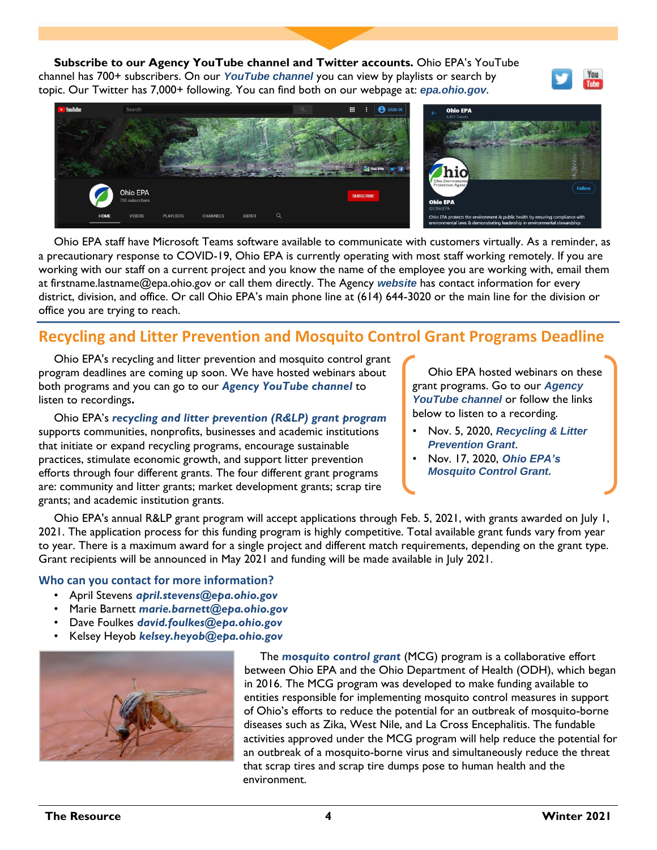**Subscribe to our Agency YouTube channel and Twitter accounts.** Ohio EPA's YouTube channel has 700+ subscribers. On our *[YouTube channel](https://www.youtube.com/user/PIC1049)* you can view by playlists or search by topic. Our Twitter has 7,000+ following. You can find both on our webpage at: *[epa.ohio.gov](https://epa.ohio.gov/)*.





Ohio EPA staff have Microsoft Teams software available to communicate with customers virtually. As a reminder, as a precautionary response to COVID-19, Ohio EPA is currently operating with most staff working remotely. If you are working with our staff on a current project and you know the name of the employee you are working with, email them at firstname.lastname@epa.ohio.gov or call them directly. The Agency *[website](https://epa.ohio.gov/)* has contact information for every district, division, and office. Or call Ohio EPA's main phone line at (614) 644-3020 or the main line for the division or office you are trying to reach.

# **Recycling and Litter Prevention and Mosquito Control Grant Programs Deadline**

Ohio EPA's recycling and litter prevention and mosquito control grant program deadlines are coming up soon. We have hosted webinars about both programs and you can go to our *[Agency YouTube channel](https://www.youtube.com/user/PIC1049)* to listen to recordings**.** 

Ohio EPA's *[recycling and litter prevention \(R&LP\) grant program](https://epa.ohio.gov/ocapp/recycling#164885249-grants)* supports communities, nonprofits, businesses and academic institutions that initiate or expand recycling programs, encourage sustainable practices, stimulate economic growth, and support litter prevention efforts through four different grants. The four different grant programs are: community and litter grants; market development grants; scrap tire grants; and academic institution grants.

Ohio EPA hosted webinars on these grant programs. Go to our *[Agency](https://www.youtube.com/user/PIC1049)  [YouTube channel](https://www.youtube.com/user/PIC1049)* or follow the links below to listen to a recording.

- Nov. 5, 2020, *[Recycling & Litter](https://www.youtube.com/watch?v=nBMcQQcoUQI) [Prevention Grant](https://www.youtube.com/watch?v=nBMcQQcoUQI)*.
- Nov. 17, 2020, *[Ohio EPA's](https://www.youtube.com/watch?v=34ZQ552LzXQ) Mosquito [Control Grant.](https://www.youtube.com/watch?v=34ZQ552LzXQ)*

Ohio EPA's annual R&LP grant program will accept applications through Feb. 5, 2021, with grants awarded on July 1, 2021. The application process for this funding program is highly competitive. Total available grant funds vary from year to year. There is a maximum award for a single project and different match requirements, depending on the grant type. Grant recipients will be announced in May 2021 and funding will be made available in July 2021.

### **Who can you contact for more information?**

- April Stevens *[april.stevens@epa.ohio.gov](mailto:april.stevens@epa.ohio.gov)*
- Marie Barnett *[marie.barnett@epa.ohio.gov](mailto:marie.barnett@epa.ohio.gov)*
- Dave Foulkes *[david.foulkes@epa.ohio.gov](mailto:david.foulkes@epa.ohio.gov)*
- Kelsey Heyob *[kelsey.heyob@epa.ohio.gov](mailto:kelsey.heyob@epa.ohio.gov)*



The *[mosquito control grant](https://epa.ohio.gov/dmwm/Home/MosquitoControlGrant)* (MCG) program is a collaborative effort between Ohio EPA and the Ohio Department of Health (ODH), which began in 2016. The MCG program was developed to make funding available to entities responsible for implementing mosquito control measures in support of Ohio's efforts to reduce the potential for an outbreak of mosquito-borne diseases such as Zika, West Nile, and La Cross Encephalitis. The fundable activities approved under the MCG program will help reduce the potential for an outbreak of a mosquito-borne virus and simultaneously reduce the threat that scrap tires and scrap tire dumps pose to human health and the environment.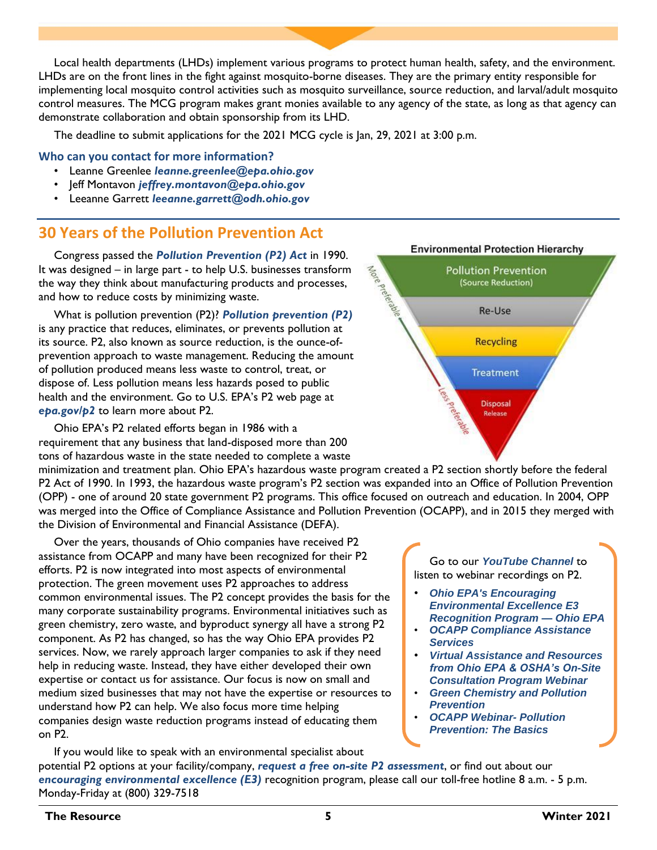Local health departments (LHDs) implement various programs to protect human health, safety, and the environment. LHDs are on the front lines in the fight against mosquito-borne diseases. They are the primary entity responsible for implementing local mosquito control activities such as mosquito surveillance, source reduction, and larval/adult mosquito control measures. The MCG program makes grant monies available to any agency of the state, as long as that agency can demonstrate collaboration and obtain sponsorship from its LHD.

More preterable

The deadline to submit applications for the 2021 MCG cycle is Jan, 29, 2021 at 3:00 p.m.

### **Who can you contact for more information?**

- Leanne Greenlee *[leanne.greenlee@epa.ohio.gov](mailto:leanne.greenlee@epa.ohio.gov)*
- Jeff Montavon *[jeffrey.montavon@epa.ohio.gov](mailto:Jeffrey.Montavon@epa.ohio.gov)*
- Leeanne Garrett *[leeanne.garrett@odh.ohio.gov](mailto:Leeanne.Garrett@odh.ohio.gov)*

### **30 Years of the Pollution Prevention Act**

Congress passed the *[Pollution Prevention \(P2\) Act](https://www.epa.gov/p2/pollution-prevention-act-1990)* in 1990. It was designed – in large part - to help U.S. businesses transform the way they think about manufacturing products and processes, and how to reduce costs by minimizing waste.

What is pollution prevention (P2)? *[Pollution prevention \(P2\)](https://www.epa.ohio.gov/portals/41/P2basics_web.pdf)* is any practice that reduces, eliminates, or prevents pollution at its source. P2, also known as source reduction, is the ounce-ofprevention approach to waste management. Reducing the amount of pollution produced means less waste to control, treat, or dispose of. Less pollution means less hazards posed to public health and the environment. Go to U.S. EPA's P2 web page at *[epa.gov/p2](https://www.epa.gov/p2)* to learn more about P2.

Ohio EPA's P2 related efforts began in 1986 with a requirement that any business that land-disposed more than 200 tons of hazardous waste in the state needed to complete a waste

minimization and treatment plan. Ohio EPA's hazardous waste program created a P2 section shortly before the federal P2 Act of 1990. In 1993, the hazardous waste program's P2 section was expanded into an Office of Pollution Prevention (OPP) - one of around 20 state government P2 programs. This office focused on outreach and education. In 2004, OPP was merged into the Office of Compliance Assistance and Pollution Prevention (OCAPP), and in 2015 they merged with the Division of Environmental and Financial Assistance (DEFA).

Over the years, thousands of Ohio companies have received P2 assistance from OCAPP and many have been recognized for their P2 efforts. P2 is now integrated into most aspects of environmental protection. The green movement uses P2 approaches to address common environmental issues. The P2 concept provides the basis for the many corporate sustainability programs. Environmental initiatives such as green chemistry, zero waste, and byproduct synergy all have a strong P2 component. As P2 has changed, so has the way Ohio EPA provides P2 services. Now, we rarely approach larger companies to ask if they need help in reducing waste. Instead, they have either developed their own expertise or contact us for assistance. Our focus is now on small and medium sized businesses that may not have the expertise or resources to understand how P2 can help. We also focus more time helping companies design waste reduction programs instead of educating them on P2.



**Environmental Protection Hierarchy** 

**Pollution Prevention** (Source Reduction)

Re-Use

**Recycling** 

**Treatment** 

**Disposal** Release

Go to our *[YouTube Channel](https://www.youtube.com/user/PIC1049)* to listen to webinar recordings on P2.

- *[Ohio EPA's Encouraging](https://www.youtube.com/watch?v=ijGpEDKY7Dg) [Environmental Excellence E3](https://www.youtube.com/watch?v=ijGpEDKY7Dg) [Recognition Program —](https://www.youtube.com/watch?v=ijGpEDKY7Dg) Ohio EPA*
- *[OCAPP Compliance Assistance](https://www.youtube.com/watch?v=IpxPSPYSvTM) [Services](https://www.youtube.com/watch?v=IpxPSPYSvTM)*
- *[Virtual Assistance and Resources](https://www.youtube.com/watch?v=AKnTVbddfF0) [from Ohio EPA & OSHA's On-Site](https://www.youtube.com/watch?v=AKnTVbddfF0) [Consultation Program Webinar](https://www.youtube.com/watch?v=AKnTVbddfF0)*
- *[Green Chemistry and Pollution](https://www.youtube.com/watch?v=kDqWSn-j1Nc) [Prevention](https://www.youtube.com/watch?v=kDqWSn-j1Nc)*
- *[OCAPP Webinar-](https://www.youtube.com/watch?v=oEzUxIjBubU) Pollution [Prevention: The Basics](https://www.youtube.com/watch?v=oEzUxIjBubU)*

If you would like to speak with an environmental specialist about potential P2 options at your facility/company, *[request a free on-site P2 assessment](https://www.epa.ohio.gov/portals/41/p2/P2OnsiteBrochure.pdf)*, or find out about our *[encouraging environmental excellence \(E3\)](https://epa.ohio.gov/ocapp/ohioe3)* recognition program, please call our toll-free hotline 8 a.m. - 5 p.m. Monday-Friday at (800) 329-7518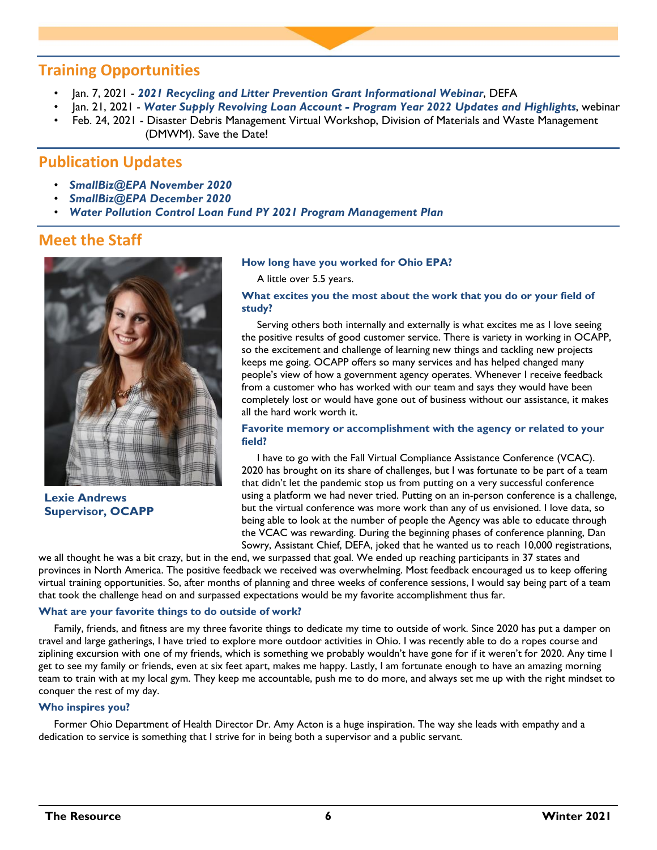### **Training Opportunities**

- Jan. 7, 2021 *2021 Recycling and [Litter Prevention Grant Informational Webinar](https://register.gotowebinar.com/register/7220322845457281039)*, DEFA
- Jan. 21, 2021 *[Water Supply Revolving Loan Account Program Year 2022 Updates and Highlights](https://register.gotowebinar.com/register/621777536039155211)*, webinar
- Feb. 24, 2021 Disaster Debris Management Virtual Workshop, Division of Materials and Waste Management (DMWM). Save the Date!

# **Publication Updates**

- *[SmallBiz@EPA November 2020](https://www.epa.gov/sites/production/files/2020-12/documents/smallbizepa_november_2020.pdf)*
- *[SmallBiz@EPA December 2020](https://www.epa.gov/sites/production/files/2020-12/documents/smallbizepa_december_2020.pdf)*
- *[Water Pollution Control Loan Fund PY 2021 Program Management Plan](https://epa.ohio.gov/Portals/29/documents/ofa/2021-WPCLF-PMP-FINAL.pdf)*

### **Meet the Staff**



**Lexie Andrews Supervisor, OCAPP**

#### **How long have you worked for Ohio EPA?**

A little over 5.5 years.

### **What excites you the most about the work that you do or your field of study?**

Serving others both internally and externally is what excites me as I love seeing the positive results of good customer service. There is variety in working in OCAPP, so the excitement and challenge of learning new things and tackling new projects keeps me going. OCAPP offers so many services and has helped changed many people's view of how a government agency operates. Whenever I receive feedback from a customer who has worked with our team and says they would have been completely lost or would have gone out of business without our assistance, it makes all the hard work worth it.

### **Favorite memory or accomplishment with the agency or related to your field?**

I have to go with the Fall Virtual Compliance Assistance Conference (VCAC). 2020 has brought on its share of challenges, but I was fortunate to be part of a team that didn't let the pandemic stop us from putting on a very successful conference using a platform we had never tried. Putting on an in-person conference is a challenge, but the virtual conference was more work than any of us envisioned. I love data, so being able to look at the number of people the Agency was able to educate through the VCAC was rewarding. During the beginning phases of conference planning, Dan Sowry, Assistant Chief, DEFA, joked that he wanted us to reach 10,000 registrations,

we all thought he was a bit crazy, but in the end, we surpassed that goal. We ended up reaching participants in 37 states and provinces in North America. The positive feedback we received was overwhelming. Most feedback encouraged us to keep offering virtual training opportunities. So, after months of planning and three weeks of conference sessions, I would say being part of a team that took the challenge head on and surpassed expectations would be my favorite accomplishment thus far.

#### **What are your favorite things to do outside of work?**

Family, friends, and fitness are my three favorite things to dedicate my time to outside of work. Since 2020 has put a damper on travel and large gatherings, I have tried to explore more outdoor activities in Ohio. I was recently able to do a ropes course and ziplining excursion with one of my friends, which is something we probably wouldn't have gone for if it weren't for 2020. Any time I get to see my family or friends, even at six feet apart, makes me happy. Lastly, I am fortunate enough to have an amazing morning team to train with at my local gym. They keep me accountable, push me to do more, and always set me up with the right mindset to conquer the rest of my day.

### **Who inspires you?**

Former Ohio Department of Health Director Dr. Amy Acton is a huge inspiration. The way she leads with empathy and a dedication to service is something that I strive for in being both a supervisor and a public servant.